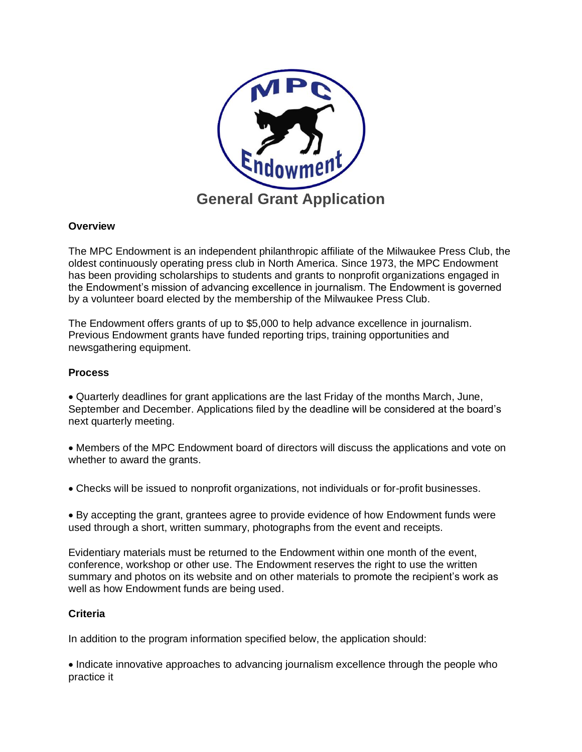

## **Overview**

The MPC Endowment is an independent philanthropic affiliate of the Milwaukee Press Club, the oldest continuously operating press club in North America. Since 1973, the MPC Endowment has been providing scholarships to students and grants to nonprofit organizations engaged in the Endowment's mission of advancing excellence in journalism. The Endowment is governed by a volunteer board elected by the membership of the Milwaukee Press Club.

The Endowment offers grants of up to \$5,000 to help advance excellence in journalism. Previous Endowment grants have funded reporting trips, training opportunities and newsgathering equipment.

### **Process**

• Quarterly deadlines for grant applications are the last Friday of the months March, June, September and December. Applications filed by the deadline will be considered at the board's next quarterly meeting.

• Members of the MPC Endowment board of directors will discuss the applications and vote on whether to award the grants.

• Checks will be issued to nonprofit organizations, not individuals or for-profit businesses.

• By accepting the grant, grantees agree to provide evidence of how Endowment funds were used through a short, written summary, photographs from the event and receipts.

Evidentiary materials must be returned to the Endowment within one month of the event, conference, workshop or other use. The Endowment reserves the right to use the written summary and photos on its website and on other materials to promote the recipient's work as well as how Endowment funds are being used.

### **Criteria**

In addition to the program information specified below, the application should:

• Indicate innovative approaches to advancing journalism excellence through the people who practice it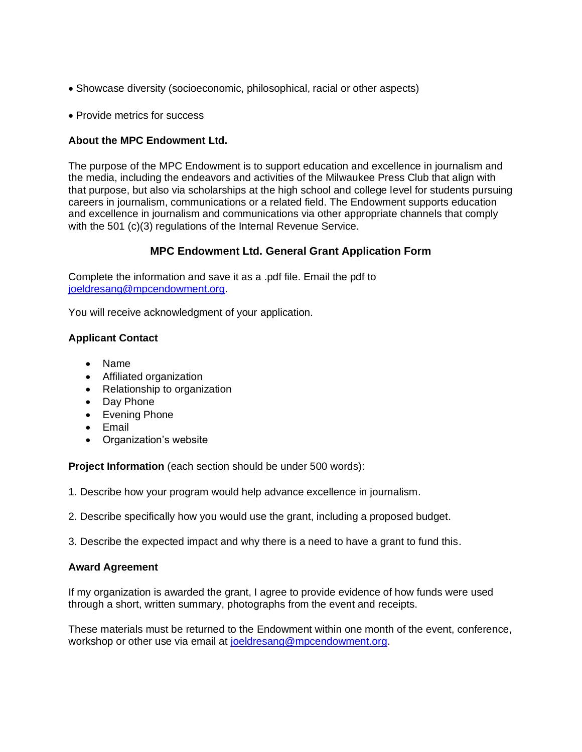- Showcase diversity (socioeconomic, philosophical, racial or other aspects)
- Provide metrics for success

# **About the MPC Endowment Ltd.**

The purpose of the MPC Endowment is to support education and excellence in journalism and the media, including the endeavors and activities of the Milwaukee Press Club that align with that purpose, but also via scholarships at the high school and college level for students pursuing careers in journalism, communications or a related field. The Endowment supports education and excellence in journalism and communications via other appropriate channels that comply with the 501 (c)(3) regulations of the Internal Revenue Service.

# **MPC Endowment Ltd. General Grant Application Form**

Complete the information and save it as a .pdf file. Email the pdf to [joeldresang@mpcendowment.org.](mailto:joeldresang@mpcendowment.org)

You will receive acknowledgment of your application.

## **Applicant Contact**

- Name
- Affiliated organization
- Relationship to organization
- Day Phone
- Evening Phone
- Email
- Organization's website

**Project Information** (each section should be under 500 words):

1. Describe how your program would help advance excellence in journalism.

- 2. Describe specifically how you would use the grant, including a proposed budget.
- 3. Describe the expected impact and why there is a need to have a grant to fund this.

### **Award Agreement**

If my organization is awarded the grant, I agree to provide evidence of how funds were used through a short, written summary, photographs from the event and receipts.

These materials must be returned to the Endowment within one month of the event, conference, workshop or other use via email at [joeldresang@mpcendowment.org.](mailto:joeldresang@mpcendowment.org)